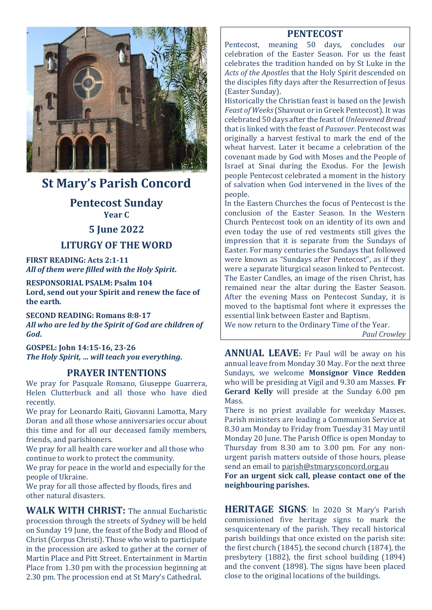

# **St Mary's Parish Concord**

### **Pentecost Sunday Year C**

### **5 June 2022**

### **LITURGY OF THE WORD**

**FIRST READING: Acts 2:1-11** *All of them were filled with the Holy Spirit***.**

**RESPONSORIAL PSALM: Psalm 104 Lord, send out your Spirit and renew the face of the earth***.*

**SECOND READING: Romans 8:8-17** *All who are led by the Spirit of God are children of God***.**

**GOSPEL: John 14:15-16, 23-26** *The Holy Spirit, … will teach you everything***.**

#### **PRAYER INTENTIONS**

We pray for Pasquale Romano, Giuseppe Guarrera, Helen Clutterbuck and all those who have died recently.

We pray for Leonardo Raiti, Giovanni Lamotta, Mary Doran and all those whose anniversaries occur about this time and for all our deceased family members, friends, and parishioners.

We pray for all health care worker and all those who continue to work to protect the community.

We pray for peace in the world and especially for the people of Ukraine.

We pray for all those affected by floods, fires and other natural disasters.

**WALK WITH CHRIST:** The annual Eucharistic procession through the streets of Sydney will be held on Sunday 19 June, the feast of the Body and Blood of Christ (Corpus Christi). Those who wish to participate in the procession are asked to gather at the corner of Martin Place and Pitt Street. Entertainment in Martin Place from 1.30 pm with the procession beginning at 2.30 pm. The procession end at St Mary's Cathedral.

### **PENTECOST**

Pentecost, meaning 50 days, concludes our celebration of the Easter Season. For us the feast celebrates the tradition handed on by St Luke in the *Acts of the Apostles* that the Holy Spirit descended on the disciples fifty days after the Resurrection of Jesus (Easter Sunday).

Historically the Christian feast is based on the Jewish *Feast of Weeks*(Shavout or in Greek Pentecost). It was celebrated 50 days after the feast of *Unleavened Bread* that is linked with the feast of *Passover*. Pentecost was originally a harvest festival to mark the end of the wheat harvest. Later it became a celebration of the covenant made by God with Moses and the People of Israel at Sinai during the Exodus. For the Jewish people Pentecost celebrated a moment in the history of salvation when God intervened in the lives of the people.

In the Eastern Churches the focus of Pentecost is the conclusion of the Easter Season. In the Western Church Pentecost took on an identity of its own and even today the use of red vestments still gives the impression that it is separate from the Sundays of Easter. For many centuries the Sundays that followed were known as "Sundays after Pentecost", as if they were a separate liturgical season linked to Pentecost. The Easter Candles, an image of the risen Christ, has remained near the altar during the Easter Season. After the evening Mass on Pentecost Sunday, it is moved to the baptismal font where it expresses the essential link between Easter and Baptism.

We now return to the Ordinary Time of the Year. *Paul Crowley*

**ANNUAL LEAVE:** Fr Paul will be away on his annual leave from Monday 30 May. For the next three Sundays, we welcome **Monsignor Vince Redden** who will be presiding at Vigil and 9.30 am Masses. **Fr Gerard Kelly** will preside at the Sunday 6.00 pm Mass.

There is no priest available for weekday Masses. Parish ministers are leading a Communion Service at 8.30 am Monday to Friday from Tuesday 31 May until Monday 20 June. The Parish Office is open Monday to Thursday from 8.30 am to 3.00 pm. For any nonurgent parish matters outside of those hours, please send an email to [parish@stmarysconcord.org.au](mailto:parish@stmarysconcord.org.au)

**For an urgent sick call, please contact one of the neighbouring parishes.**

**HERITAGE SIGNS**: In 2020 St Mary's Parish commissioned five heritage signs to mark the sesquicentenary of the parish. They recall historical parish buildings that once existed on the parish site: the first church (1845), the second church (1874), the presbytery (1882), the first school building (1894) and the convent (1898). The signs have been placed close to the original locations of the buildings.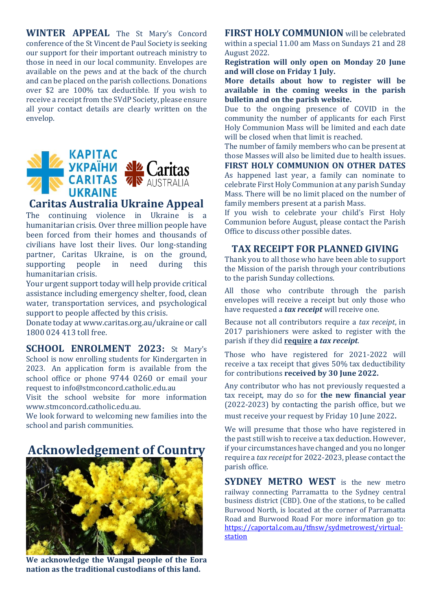**WINTER APPEAL** The St Mary's Concord conference of the St Vincent de Paul Society is seeking our support for their important outreach ministry to those in need in our local community. Envelopes are available on the pews and at the back of the church and can be placed on the parish collections. Donations over \$2 are 100% tax deductible. If you wish to receive a receipt from the SVdP Society, please ensure all your contact details are clearly written on the envelop.



The continuing violence in Ukraine is a humanitarian crisis. Over three million people have been forced from their homes and thousands of civilians have lost their lives. Our long-standing partner, Caritas Ukraine, is on the ground, supporting people in need during this humanitarian crisis.

Your urgent support today will help provide critical assistance including emergency shelter, food, clean water, transportation services, and psychological support to people affected by this crisis.

Donate today at www.caritas.org.au/ukraine or call 1800 024 413 toll free.

**SCHOOL ENROLMENT 2023:** St Mary's School is now enrolling students for Kindergarten in 2023. An application form is available from the school office or phone 9744 0260 or email your request to [info@stmconcord.catholic.edu.au](mailto:info@stmconcord.catholic.edu.au)

Visit the school website for more information [www.stmconcord.catholic.edu.au.](http://www.stmconcord.catholic.edu.au/)

We look forward to welcoming new families into the school and parish communities.

## **Acknowledgement of Country**



**We acknowledge the Wangal people of the Eora nation as the traditional custodians of this land.**

**FIRST HOLY COMMUNION** will be celebrated within a special 11.00 am Mass on Sundays 21 and 28 August 2022.

**Registration will only open on Monday 20 June and will close on Friday 1 July.**

**More details about how to register will be available in the coming weeks in the parish bulletin and on the parish website.**

Due to the ongoing presence of COVID in the community the number of applicants for each First Holy Communion Mass will be limited and each date will be closed when that limit is reached.

The number of family members who can be present at those Masses will also be limited due to health issues.

**FIRST HOLY COMMUNION ON OTHER DATES** As happened last year, a family can nominate to celebrate First Holy Communion at any parish Sunday Mass. There will be no limit placed on the number of family members present at a parish Mass.

If you wish to celebrate your child's First Holy Communion before August, please contact the Parish Office to discuss other possible dates.

#### **TAX RECEIPT FOR PLANNED GIVING**

Thank you to all those who have been able to support the Mission of the parish through your contributions to the parish Sunday collections.

All those who contribute through the parish envelopes will receive a receipt but only those who have requested a *tax receipt* will receive one.

Because not all contributors require a *tax receipt*, in 2017 parishioners were asked to register with the parish if they did **require a** *tax receipt*.

Those who have registered for 2021-2022 will receive a tax receipt that gives 50% tax deductibility for contributions **received by 30 June 2022.**

Any contributor who has not previously requested a tax receipt, may do so for **the new financial year** (2022-2023) by contacting the parish office, but we

must receive your request by Friday 10 June 2022.

We will presume that those who have registered in the past still wish to receive a tax deduction. However, if your circumstances have changed and you no longer require a *tax receipt*for 2022-2023, please contact the parish office.

**SYDNEY METRO WEST** is the new metro railway connecting Parramatta to the Sydney central business district (CBD). One of the stations, to be called Burwood North, is located at the corner of Parramatta Road and Burwood Road For more information go to: [https://caportal.com.au/tfnsw/sydmetrowest/virtual](https://caportal.com.au/tfnsw/sydmetrowest/virtual-station)[station](https://caportal.com.au/tfnsw/sydmetrowest/virtual-station)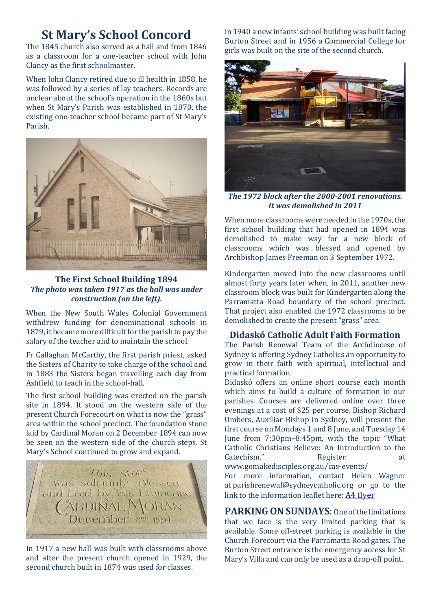# **St Mary's School Concord**

The 1845 church also served as a hall and from 1846 as a classroom for a one-teacher school with John Clancy as the first schoolmaster.

When John Clancy retired due to ill health in 1858, he was followed by a series of lay teachers. Records are unclear about the school's operation in the 1860s but when St Mary's Parish was established in 1870, the existing one-teacher school became part of St Mary's Parish.



**The First School Building 1894** *The photo was taken 1917 as the hall was under construction (on the left).*

When the New South Wales Colonial Government withdrew funding for denominational schools in 1879, it became more difficult for the parish to pay the salary of the teacher and to maintain the school.

Fr Callaghan McCarthy, the first parish priest, asked the Sisters of Charity to take charge of the school and in 1883 the Sisters began travelling each day from Ashfield to teach in the school-hall.

The first school building was erected on the parish site in 1894. It stood on the western side of the present Church Forecourt on what is now the "grass" area within the school precinct. The foundation stone laid by Cardinal Moran on 2 December 1894 can now be seen on the western side of the church steps. St Mary's School continued to grow and expand.



In 1917 a new hall was built with classrooms above and after the present church opened in 1929, the second church built in 1874 was used for classes.

In 1940 a new infants' school building was built facing Burton Street and in 1956 a Commercial College for girls was built on the site of the second church.



*The 1972 block after the 2000-2001 renovations. It was demolished in 2011*

When more classrooms were needed in the 1970s, the first school building that had opened in 1894 was demolished to make way for a new block of classrooms which was blessed and opened by Archbishop James Freeman on 3 September 1972.

Kindergarten moved into the new classrooms until almost forty years later when, in 2011, another new classroom block was built for Kindergarten along the Parramatta Road boundary of the school precinct. That project also enabled the 1972 classrooms to be demolished to create the present "grass" area.

#### **Didaskó Catholic Adult Faith Formation**

The Parish Renewal Team of the Archdiocese of Sydney is offering Sydney Catholics an opportunity to grow in their faith with spiritual, intellectual and practical formation.

Didaskó offers an online short course each month which aims to build a culture of formation in our parishes. Courses are delivered online over three evenings at a cost of \$25 per course. Bishop Richard Umbers, Auxiliar Bishop in Sydney, will present the first course on Mondays 1 and 8 June, and Tuesday 14 June from 7:30pm–8:45pm, with the topic "What Catholic Christians Believe: An Introduction to the Catechism." Register at [www.gomakedisciples.org.au/cas-events/](https://comms.sydneycatholic.org/ch/75218/bxqq7/2219737/cxHaylqe_G2Ku55e3z8xsxqITNu92ThlPqPyUpar.html)

For more information, contact Helen Wagner at [parishrenewal@sydneycatholic.org](mailto:parishrenewal@sydneycatholic.org) or go to the link to the information leaflet here: [A4 flyer](https://www.gomakedisciples.org.au/wp-content/uploads/2022/05/Didasko-Flyerv7.pdf)

**PARKING ON SUNDAYS**: One of the limitations that we face is the very limited parking that is available. Some off-street parking is available in the Church Forecourt via the Parramatta Road gates. The Burton Street entrance is the emergency access for St Mary's Villa and can only be used as a drop-off point.